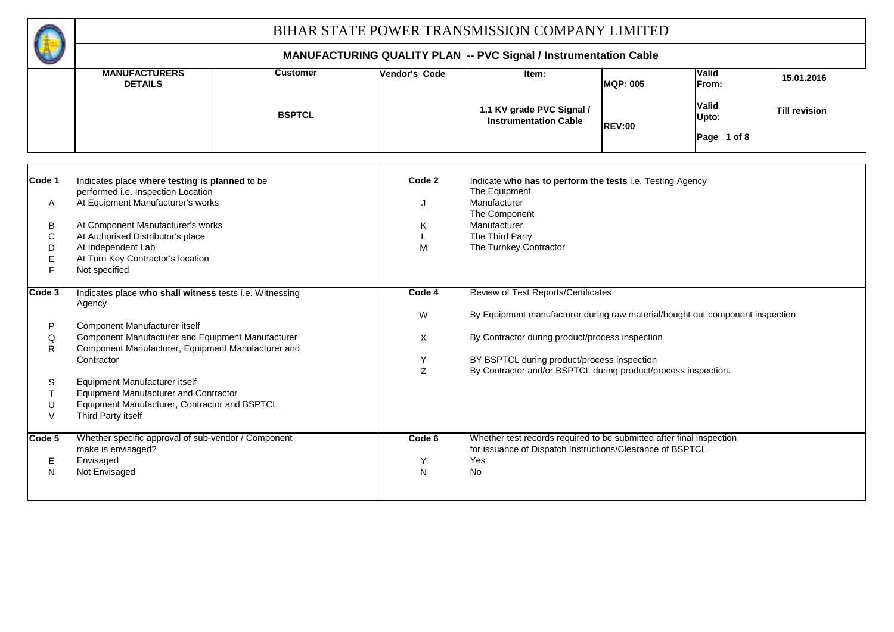#### **MANUFACTURERS Vendor's Code Valid DETAILS From: Valid Upto: Code 1** Indicates place where testing is planned to be **1** Code 2 performed i.e. Inspection Location A J At Equipment Manufacturer's works Manufacturer B At Component Manufacturer's works K Manufacturer C At Authorised Distributor's place The Third Party Company of the Third Party Company of the Third Party D At Independent Lab and Contact the Material Structure of the Material Structure of Material Structure of Material Structure of Material Structure of Material Structure of Material Structure of Material Structure of Mater E F **Code 3** Indicates place who shall witness tests i.e. Witnessing **Review Code 4** Review of Test Reports/Certificates W P Q Component Manufacturer and Equipment Manufacturer **By Contractor during product/process** inspection R Y Z S T U V **Code 5** Whether specific approval of sub-vendor / Component **Code 6** Code 6 E Envisaged The Second Second Second Second Second Second Second Second Second Second Second Second Second Second Second Second Second Second Second Second Second Second Second Second Second Second Second Second Second Sec N Not Envisaged Note and Note and Note and Note and Note and Note and Note and No **MANUFACTURING QUALITY PLAN -- PVC Signal / Instrumentation Cable** Indicate who has to perform the tests i.e. Testing Agency The Component The Turnkey Contractor At Turn Key Contractor's location Not specified Component Manufacturer, Equipment Manufacturer and Contractor Contractor Contractor Contractor BY BSPTCL during product/process inspection Agency By Equipment manufacturer during raw material/bought out component inspection Component Manufacturer itself Whether test records required to be submitted after final inspection Equipment Manufacturer itself Equipment Manufacturer and Contractor **Customer IVendor's Code IVEN MQP: 005 15.01.2016 BSPTCL** Third Party itself By Contractor and/or BSPTCL during product/process inspection. Envisaged Yes The Equipment make is envisaged? Equipment Manufacturer, Contractor and BSPTCL for issuance of Dispatch Instructions/Clearance of BSPTCL **REV:00 Till revision Page 1 of 8 1.1 KV grade PVC Signal / Instrumentation Cable**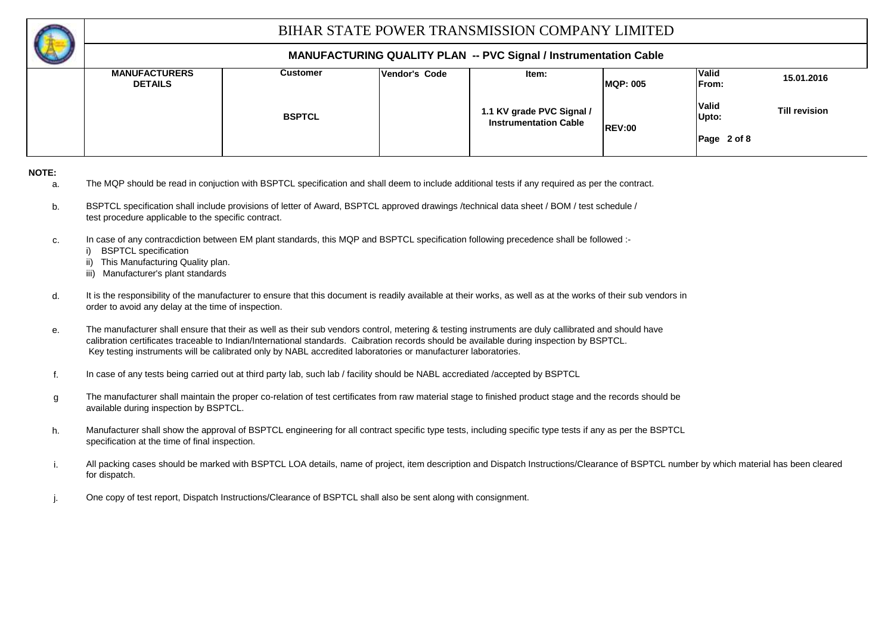

#### **MANUFACTURING QUALITY PLAN -- PVC Signal / Instrumentation Cable**

| $\sim$ |                                        |                 |                      |                                                           |                 |                               |                      |
|--------|----------------------------------------|-----------------|----------------------|-----------------------------------------------------------|-----------------|-------------------------------|----------------------|
|        | <b>MANUFACTURERS</b><br><b>DETAILS</b> | <b>Customer</b> | <b>Vendor's Code</b> | ltem:                                                     | <b>MQP: 005</b> | <b>Valid</b><br><b>IFrom:</b> | 15.01.2016           |
|        |                                        | <b>BSPTCL</b>   |                      | 1.1 KV grade PVC Signal /<br><b>Instrumentation Cable</b> | <b>REV:00</b>   | <b>Valid</b><br>Upto:         | <b>Till revision</b> |
|        |                                        |                 |                      |                                                           |                 | Page 2 of 8                   |                      |

**NOTE:**

- a. The MQP should be read in conjuction with BSPTCL specification and shall deem to include additional tests if any required as per the contract.
- b. BSPTCL specification shall include provisions of letter of Award, BSPTCL approved drawings /technical data sheet / BOM / test schedule / test procedure applicable to the specific contract.
- c. In case of any contracdiction between EM plant standards, this MQP and BSPTCL specification following precedence shall be followed :
	- i) BSPTCL specification
	- ii) This Manufacturing Quality plan.
	- iii) Manufacturer's plant standards
- d. It is the responsibility of the manufacturer to ensure that this document is readily available at their works, as well as at the works of their sub vendors in order to avoid any delay at the time of inspection.
- e. The manufacturer shall ensure that their as well as their sub vendors control, metering & testing instruments are duly callibrated and should have calibration certificates traceable to Indian/International standards. Caibration records should be available during inspection by BSPTCL. Key testing instruments will be calibrated only by NABL accredited laboratories or manufacturer laboratories.
- f. In case of any tests being carried out at third party lab, such lab / facility should be NABL accrediated /accepted by BSPTCL
- g The manufacturer shall maintain the proper co-relation of test certificates from raw material stage to finished product stage and the records should be available during inspection by BSPTCL.
- h. specification at the time of final inspection. Manufacturer shall show the approval of BSPTCL engineering for all contract specific type tests, including specific type tests if any as per the BSPTCL
- i. All packing cases should be marked with BSPTCL LOA details, name of project, item description and Dispatch Instructions/Clearance of BSPTCL number by which material has been cleared for dispatch.
- j. One copy of test report, Dispatch Instructions/Clearance of BSPTCL shall also be sent along with consignment.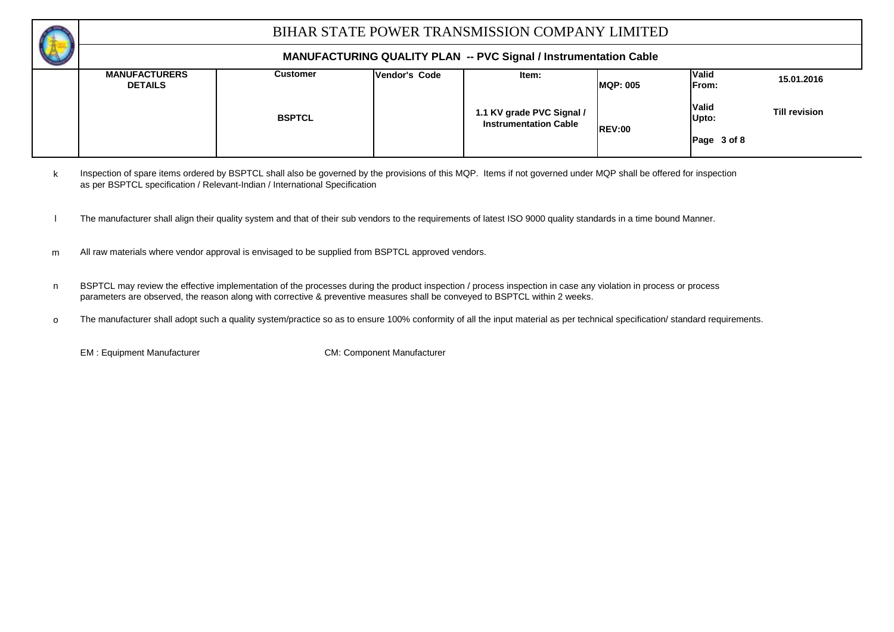

#### **MANUFACTURING QUALITY PLAN -- PVC Signal / Instrumentation Cable**

| $\overline{\phantom{a}}$ |                                        |               |                      |                                                           |                  |                       |                      |
|--------------------------|----------------------------------------|---------------|----------------------|-----------------------------------------------------------|------------------|-----------------------|----------------------|
|                          | <b>MANUFACTURERS</b><br><b>DETAILS</b> | Customer      | <b>Vendor's Code</b> | ltem:                                                     | <b>IMQP: 005</b> | <b>Valid</b><br>From: | 15.01.2016           |
|                          |                                        | <b>BSPTCL</b> |                      | 1.1 KV grade PVC Signal /<br><b>Instrumentation Cable</b> | <b>REV:00</b>    | <b>Valid</b><br>Upto: | <b>Till revision</b> |
|                          |                                        |               |                      |                                                           |                  | Page 3 of 8           |                      |

k Inspection of spare items ordered by BSPTCL shall also be governed by the provisions of this MQP. Items if not governed under MQP shall be offered for inspection as per BSPTCL specification / Relevant-Indian / International Specification

- l The manufacturer shall align their quality system and that of their sub vendors to the requirements of latest ISO 9000 quality standards in a time bound Manner.
- m All raw materials where vendor approval is envisaged to be supplied from BSPTCL approved vendors.
- n BSPTCL may review the effective implementation of the processes during the product inspection / process inspection in case any violation in process or process parameters are observed, the reason along with corrective & preventive measures shall be conveyed to BSPTCL within 2 weeks.
- o The manufacturer shall adopt such a quality system/practice so as to ensure 100% conformity of all the input material as per technical specification/ standard requirements.

EM : Equipment Manufacturer CM: Component Manufacturer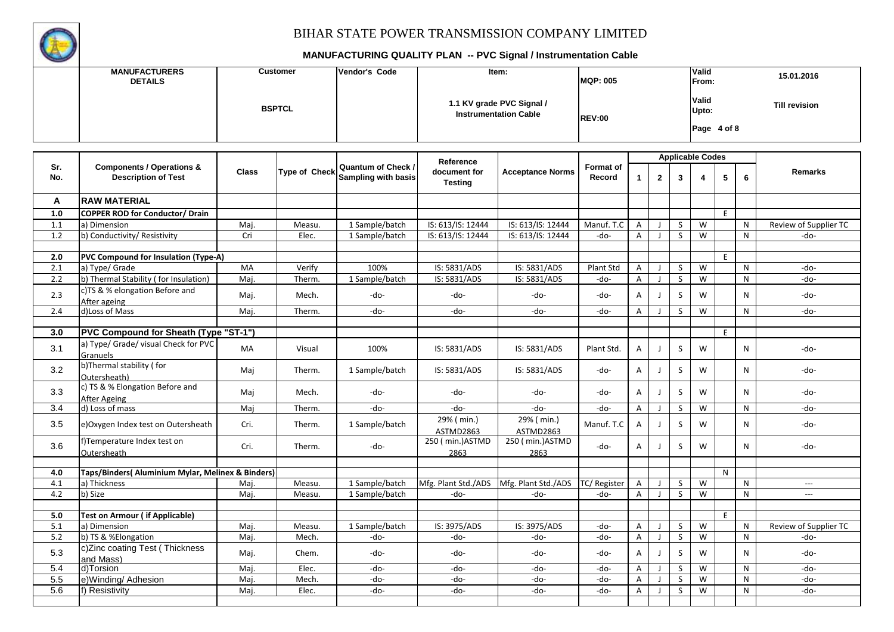

|            | <b>MANUFACTURERS</b><br><b>DETAILS</b>                             |              | <b>Customer</b> | Vendor's Code                                    |                                      | Item:                                                     | <b>MQP: 005</b>     |                |              |              | Valid<br>From:                |    | 15.01.2016   |                       |  |  |
|------------|--------------------------------------------------------------------|--------------|-----------------|--------------------------------------------------|--------------------------------------|-----------------------------------------------------------|---------------------|----------------|--------------|--------------|-------------------------------|----|--------------|-----------------------|--|--|
|            |                                                                    |              | <b>BSPTCL</b>   |                                                  |                                      | 1.1 KV grade PVC Signal /<br><b>Instrumentation Cable</b> | <b>REV:00</b>       |                |              |              | Valid<br>Upto:<br>Page 4 of 8 |    |              | <b>Till revision</b>  |  |  |
|            |                                                                    |              |                 |                                                  |                                      |                                                           |                     |                |              |              | <b>Applicable Codes</b>       |    |              |                       |  |  |
| Sr.<br>No. | <b>Components / Operations &amp;</b><br><b>Description of Test</b> | <b>Class</b> | Type of Check   | <b>Quantum of Check /</b><br>Sampling with basis | Reference<br>document for<br>Testing | <b>Acceptance Norms</b>                                   | Format of<br>Record | $\mathbf{1}$   | $\mathbf{2}$ | 3            | 4                             | 5  | 6            | Remarks               |  |  |
| A          | <b>RAW MATERIAL</b>                                                |              |                 |                                                  |                                      |                                                           |                     |                |              |              |                               |    |              |                       |  |  |
| 1.0        | <b>COPPER ROD for Conductor/ Drain</b>                             |              |                 |                                                  |                                      |                                                           |                     |                |              |              |                               | E. |              |                       |  |  |
| 1.1        | a) Dimension                                                       | Maj.         | Measu.          | 1 Sample/batch                                   | IS: 613/IS: 12444                    | IS: 613/IS: 12444                                         | Manuf. T.C          | $\mathsf{A}$   | J            | S            | W                             |    | N            | Review of Supplier TC |  |  |
| 1.2        | b) Conductivity/ Resistivity                                       | Cri          | Elec.           | 1 Sample/batch                                   | IS: 613/IS: 12444                    | IS: 613/IS: 12444                                         | -do-                | A              | - 1          | S.           | W                             |    | N            | -do-                  |  |  |
| 2.0        | PVC Compound for Insulation (Type-A)                               |              |                 |                                                  |                                      |                                                           |                     |                |              |              |                               | E. |              |                       |  |  |
| 2.1        | a) Type/ Grade                                                     | MA           | Verify          | 100%                                             | IS: 5831/ADS                         | IS: 5831/ADS                                              | Plant Std           | A              | J            | S            | W                             |    | N            | -do-                  |  |  |
| 2.2        | b) Thermal Stability (for Insulation)                              | Maj.         | Therm.          | 1 Sample/batch                                   | IS: 5831/ADS                         | IS: 5831/ADS                                              | -do-                | A              | J            | S            | W                             |    | N            | -do-                  |  |  |
| 2.3        | c)TS & % elongation Before and<br>After ageing                     | Maj.         | Mech.           | -do-                                             | -do-                                 | -do-                                                      | -do-                | A              | J            | S            | W                             |    | $\mathsf{N}$ | $-do-$                |  |  |
| 2.4        | d)Loss of Mass                                                     | Maj.         | Therm.          | -do-                                             | -do-                                 | -do-                                                      | -do-                | A              |              | S            | W                             |    | N            | -do-                  |  |  |
|            |                                                                    |              |                 |                                                  |                                      |                                                           |                     |                |              |              |                               |    |              |                       |  |  |
| 3.0        | PVC Compound for Sheath (Type "ST-1")                              |              |                 |                                                  |                                      |                                                           |                     |                |              |              |                               | E  |              |                       |  |  |
| 3.1        | a) Type/ Grade/ visual Check for PVC<br>Granuels                   | <b>MA</b>    | Visual          | 100%                                             | IS: 5831/ADS                         | IS: 5831/ADS                                              | Plant Std.          | A              | J            | S            | W                             |    | N            | -do-                  |  |  |
| 3.2        | b)Thermal stability (for<br>Outersheath)                           | Maj          | Therm.          | 1 Sample/batch                                   | IS: 5831/ADS                         | IS: 5831/ADS                                              | -do-                | A              | J            | S            | W                             |    | N            | -do-                  |  |  |
| 3.3        | c) TS & % Elongation Before and<br>After Ageing                    | Maj          | Mech.           | -do-                                             | -do-                                 | -do-                                                      | -do-                | Α              | J            | $\sf S$      | W                             |    | N            | -do-                  |  |  |
| 3.4        | d) Loss of mass                                                    | Maj          | Therm.          | -do-                                             | -do-                                 | -do-                                                      | -do-                | A              | J            | S            | W                             |    | N            | -do-                  |  |  |
| 3.5        | e) Oxygen Index test on Outersheath                                | Cri.         | Therm.          | 1 Sample/batch                                   | 29% ( min.)<br>ASTMD2863             | 29% (min.)<br>ASTMD2863                                   | Manuf. T.C          | A              | J            | S            | W                             |    | N            | -do-                  |  |  |
| 3.6        | f)Temperature Index test on<br>Outersheath                         | Cri.         | Therm.          | $-do-$                                           | 250 (min.) ASTMD<br>2863             | 250 (min.) ASTMD<br>2863                                  | -do-                | Α              | J            | S            | W                             |    | N            | -do-                  |  |  |
|            |                                                                    |              |                 |                                                  |                                      |                                                           |                     |                |              |              |                               |    |              |                       |  |  |
| 4.0        | Taps/Binders( Aluminium Mylar, Melinex & Binders)                  |              |                 |                                                  |                                      |                                                           |                     |                |              |              |                               | N  |              |                       |  |  |
| 4.1        | a) Thickness                                                       | Maj.         | Measu.          | 1 Sample/batch                                   |                                      | Mfg. Plant Std./ADS   Mfg. Plant Std./ADS                 | TC/Register         | $\mathsf{A}$   |              | S            | W                             |    | N            | ---                   |  |  |
| 4.2        | b) Size                                                            | Maj.         | Measu.          | 1 Sample/batch                                   | -do-                                 | -do-                                                      | -do-                | $\overline{A}$ | - 1          | $\mathsf{S}$ | W                             |    | N            | $\overline{a}$        |  |  |
| 5.0        | <b>Test on Armour ( if Applicable)</b>                             |              |                 |                                                  |                                      |                                                           |                     |                |              |              |                               | E  |              |                       |  |  |
| 5.1        | a) Dimension                                                       | Maj.         | Measu.          | 1 Sample/batch                                   | IS: 3975/ADS                         | IS: 3975/ADS                                              | -do-                | A              | J            | S            | W                             |    | N            | Review of Supplier TC |  |  |
| 5.2        | b) TS & %Elongation                                                | Maj.         | Mech.           | -do-                                             | -do-                                 | -do-                                                      | -do-                | $\sf A$        | - 1          | $\sf S$      | W                             |    | N            | -do-                  |  |  |
| 5.3        | c)Zinc coating Test (Thickness                                     | Maj.         | Chem.           | -do-                                             | -do-                                 | -do-                                                      | -do-                | А              | $\mathsf{J}$ | S            | W                             |    | N            | -do-                  |  |  |
| 5.4        | and Mass)<br>d)Torsion                                             | Maj.         | Elec.           | -do-                                             | $-do-$                               | -do-                                                      | -do-                | A              | J            | S            | W                             |    | N            | -do-                  |  |  |
| 5.5        | e)Winding/Adhesion                                                 | Maj          | Mech.           | -do-                                             | -do-                                 | -do-                                                      | -do-                | A              | J            | $\mathsf{S}$ | W                             |    | N            | $-do-$                |  |  |
| 5.6        | f) Resistivity                                                     | Maj.         | Elec.           | -do-                                             | -do-                                 | -do-                                                      | -do-                | A              | J            | $\mathsf{S}$ | W                             |    | N            | -do-                  |  |  |
|            |                                                                    |              |                 |                                                  |                                      |                                                           |                     |                |              |              |                               |    |              |                       |  |  |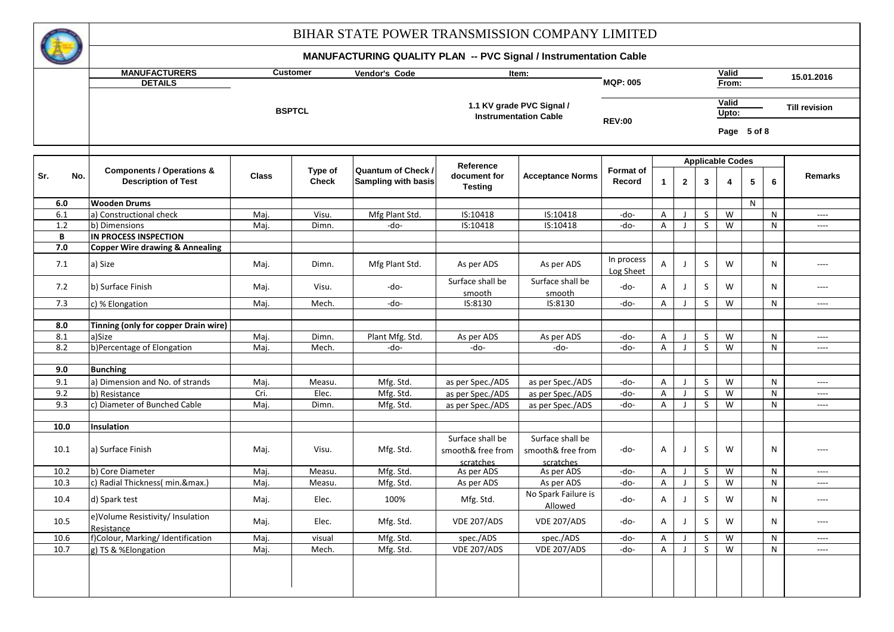

|              | <b>MANUFACTURERS</b><br><b>Customer</b><br>Valid<br>Vendor's Code<br>Item: |              |                         |                                                  |                                |                              |                         |                         |                   |                                         |       |   |        |                                   |  |
|--------------|----------------------------------------------------------------------------|--------------|-------------------------|--------------------------------------------------|--------------------------------|------------------------------|-------------------------|-------------------------|-------------------|-----------------------------------------|-------|---|--------|-----------------------------------|--|
|              | <b>DETAILS</b>                                                             |              |                         |                                                  |                                |                              | <b>MQP: 005</b>         |                         |                   |                                         | From: |   |        | 15.01.2016                        |  |
|              |                                                                            |              |                         |                                                  |                                |                              |                         |                         | Valid             |                                         |       |   |        |                                   |  |
|              |                                                                            |              | <b>BSPTCL</b>           |                                                  |                                | 1.1 KV grade PVC Signal /    |                         |                         |                   |                                         | Upto: |   |        | <b>Till revision</b>              |  |
|              |                                                                            |              |                         |                                                  |                                | <b>Instrumentation Cable</b> | <b>REV:00</b>           |                         |                   | Page 5 of 8                             |       |   |        |                                   |  |
|              |                                                                            |              |                         |                                                  |                                |                              |                         |                         |                   |                                         |       |   |        |                                   |  |
|              |                                                                            |              |                         |                                                  | Reference                      |                              |                         | <b>Applicable Codes</b> |                   |                                         |       |   |        |                                   |  |
| Sr.<br>No.   | <b>Components / Operations &amp;</b><br><b>Description of Test</b>         | <b>Class</b> | Type of<br><b>Check</b> | <b>Quantum of Check /</b><br>Sampling with basis | document for<br><b>Testing</b> | <b>Acceptance Norms</b>      | Format of<br>Record     | $\overline{1}$          | $\mathbf{2}$      | 3                                       | 4     | 5 | 6      | <b>Remarks</b>                    |  |
| 6.0          | <b>Wooden Drums</b>                                                        |              |                         |                                                  |                                |                              |                         |                         |                   |                                         |       | N |        |                                   |  |
| 6.1          | a) Constructional check                                                    | Maj.         | Visu.                   | Mfg Plant Std.                                   | IS:10418                       | IS:10418                     | -do-                    | A                       |                   | S                                       | W     |   | N      | $\overline{\phantom{a}}$          |  |
| 1.2          | b) Dimensions                                                              | Maj.         | Dimn.                   | -do-                                             | IS:10418                       | IS:10418                     | -do-                    | A                       |                   | $\overline{\mathsf{S}}$                 | W     |   | N      | $\overline{\phantom{a}}$          |  |
| B            | IN PROCESS INSPECTION                                                      |              |                         |                                                  |                                |                              |                         |                         |                   |                                         |       |   |        |                                   |  |
| 7.0          | <b>Copper Wire drawing &amp; Annealing</b>                                 |              |                         |                                                  |                                |                              |                         |                         |                   |                                         |       |   |        |                                   |  |
| 7.1          | a) Size                                                                    | Maj.         | Dimn.                   | Mfg Plant Std.                                   | As per ADS                     | As per ADS                   | In process<br>Log Sheet | A                       | J                 | S                                       | W     |   | N      | $\cdots$                          |  |
| 7.2          | b) Surface Finish                                                          | Maj.         | Visu.                   | -do-                                             | Surface shall be<br>smooth     | Surface shall be<br>smooth   | -do-                    | Α                       | J                 | S                                       | W     |   | N      | $---$                             |  |
| 7.3          | c) % Elongation                                                            | Maj.         | Mech.                   | -do-                                             | IS:8130                        | IS:8130                      | -do-                    | A                       | J                 | <sub>S</sub>                            | W     |   | N      | $\cdots$                          |  |
|              |                                                                            |              |                         |                                                  |                                |                              |                         |                         |                   |                                         |       |   |        |                                   |  |
| 8.0<br>8.1   | Tinning (only for copper Drain wire)<br>a)Size                             | Maj.         | Dimn.                   | Plant Mfg. Std.                                  | As per ADS                     | As per ADS                   | -do-                    | Α                       |                   | S                                       | W     |   | N      | ----                              |  |
| 8.2          | b)Percentage of Elongation                                                 | Maj.         | Mech.                   | -do-                                             | -do-                           | -do-                         | -do-                    | A                       | J                 | S                                       | W     |   | N      | ----                              |  |
|              |                                                                            |              |                         |                                                  |                                |                              |                         |                         |                   |                                         |       |   |        |                                   |  |
| 9.0          | <b>Bunching</b>                                                            |              |                         |                                                  |                                |                              |                         |                         |                   |                                         |       |   |        |                                   |  |
| 9.1          | a) Dimension and No. of strands                                            | Maj.         | Measu.                  | Mfg. Std.                                        | as per Spec./ADS               | as per Spec./ADS             | -do-                    | A                       | $\perp$           | S                                       | W     |   | N      | $\overline{\phantom{a}}$          |  |
| 9.2          | b) Resistance                                                              | Cri.         | Elec.                   | Mfg. Std.                                        | as per Spec./ADS               | as per Spec./ADS             | -do-                    | Α                       | J                 | $\mathsf{S}$                            | W     |   | N      | $\overline{\phantom{a}}$          |  |
| 9.3          | c) Diameter of Bunched Cable                                               | Maj.         | Dimn.                   | Mfg. Std.                                        | as per Spec./ADS               | as per Spec./ADS             | -do-                    | Α                       | J                 | S                                       | W     |   | N      | ----                              |  |
|              |                                                                            |              |                         |                                                  |                                |                              |                         |                         |                   |                                         |       |   |        |                                   |  |
| 10.0         | <b>Insulation</b>                                                          |              |                         |                                                  |                                |                              |                         |                         |                   |                                         |       |   |        |                                   |  |
|              |                                                                            |              |                         |                                                  | Surface shall be               | Surface shall be             |                         |                         |                   |                                         |       |   |        |                                   |  |
| 10.1         | a) Surface Finish                                                          | Maj.         | Visu.                   | Mfg. Std.                                        | smooth& free from              | smooth& free from            | -do-                    | A                       | J                 | S                                       | W     |   | N      | $---$                             |  |
|              | b) Core Diameter                                                           |              |                         |                                                  | scratches                      | scratches                    |                         |                         |                   |                                         | W     |   |        |                                   |  |
| 10.2<br>10.3 | c) Radial Thickness(min.&max.)                                             | Maj.<br>Maj. | Measu.<br>Measu.        | Mfg. Std.<br>Mfg. Std.                           | As per ADS<br>As per ADS       | As per ADS<br>As per ADS     | -do-<br>-do-            | A<br>A                  | J<br>$\mathsf{J}$ | $\mathsf{S}$<br>$\overline{\mathsf{S}}$ | W     |   | N<br>N | $---$<br>$\overline{\phantom{a}}$ |  |
|              |                                                                            |              |                         |                                                  |                                | No Spark Failure is          |                         |                         |                   |                                         |       |   |        |                                   |  |
| 10.4         | d) Spark test                                                              | Maj.         | Elec.                   | 100%                                             | Mfg. Std.                      | Allowed                      | -do-                    | A                       | J                 | S                                       | W     |   | N      | $---$                             |  |
| 10.5         | e)Volume Resistivity/ Insulation<br>Resistance                             | Maj.         | Elec.                   | Mfg. Std.                                        | <b>VDE 207/ADS</b>             | <b>VDE 207/ADS</b>           | -do-                    | A                       | J                 | $\sf S$                                 | W     |   | N      | $\overline{a}$                    |  |
| 10.6         | f)Colour, Marking/Identification                                           | Maj.         | visual                  | Mfg. Std.                                        | spec./ADS                      | spec./ADS                    | -do-                    | Α                       |                   | S                                       | W     |   | N      | ----                              |  |
| 10.7         | g) TS & %Elongation                                                        | Maj.         | Mech.                   | Mfg. Std.                                        | <b>VDE 207/ADS</b>             | <b>VDE 207/ADS</b>           | -do-                    | A                       | J                 | S                                       | W     |   | N      | ----                              |  |
|              |                                                                            |              |                         |                                                  |                                |                              |                         |                         |                   |                                         |       |   |        |                                   |  |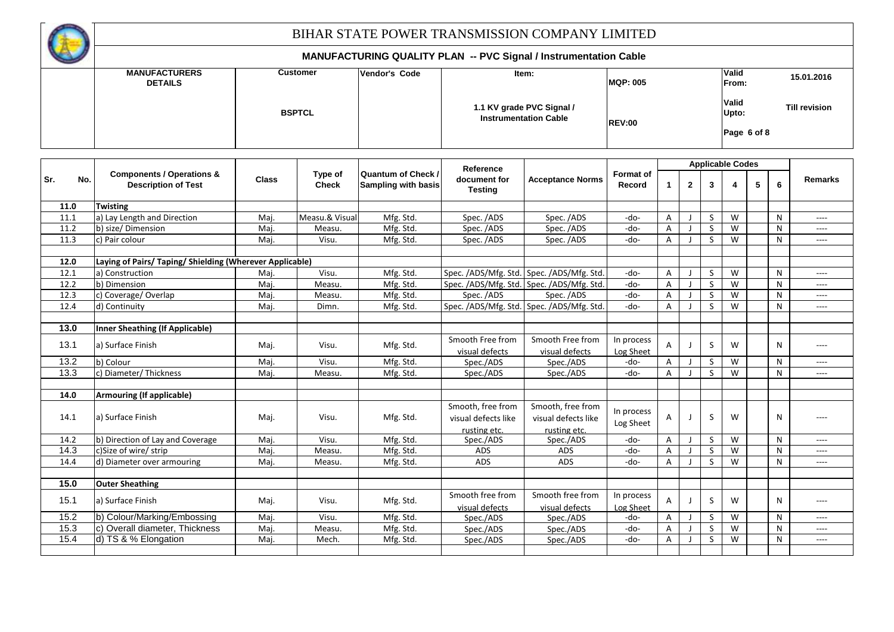

|            | <b>MANUFACTURERS</b><br><b>DETAILS</b>                             |              | <b>Customer</b>         | Vendor's Code                                    |                                                          | Item:                                                     | <b>MQP: 005</b>            |   |                          |   |                               | From: | 15.01.2016   |                      |  |
|------------|--------------------------------------------------------------------|--------------|-------------------------|--------------------------------------------------|----------------------------------------------------------|-----------------------------------------------------------|----------------------------|---|--------------------------|---|-------------------------------|-------|--------------|----------------------|--|
|            |                                                                    |              | <b>BSPTCL</b>           |                                                  |                                                          | 1.1 KV grade PVC Signal /<br><b>Instrumentation Cable</b> | <b>REV:00</b>              |   |                          |   | Valid<br>Upto:<br>Page 6 of 8 |       |              | <b>Till revision</b> |  |
|            |                                                                    |              |                         |                                                  |                                                          |                                                           |                            |   |                          |   | <b>Applicable Codes</b>       |       |              |                      |  |
| Sr.<br>No. | <b>Components / Operations &amp;</b><br><b>Description of Test</b> | <b>Class</b> | Type of<br><b>Check</b> | <b>Quantum of Check /</b><br>Sampling with basis | Reference<br>document for<br><b>Testing</b>              | <b>Acceptance Norms</b>                                   | <b>Format of</b><br>Record | 1 | $\mathbf{2}$             | 3 |                               | 5     | 6            | Remarks              |  |
| 11.0       | <b>Twisting</b>                                                    |              |                         |                                                  |                                                          |                                                           |                            |   |                          |   |                               |       |              |                      |  |
| 11.1       | a) Lay Length and Direction                                        | Maj.         | Measu.& Visual          | Mfg. Std.                                        | Spec. /ADS                                               | Spec. /ADS                                                | -do-                       | A |                          | S | W                             |       | $\mathsf{N}$ | $---$                |  |
| 11.2       | b) size/Dimension                                                  | Maj.         | Measu.                  | Mfg. Std.                                        | Spec. /ADS                                               | Spec. /ADS                                                | -do-                       | A |                          | S | W                             |       | N            | $---$                |  |
| 11.3       | c) Pair colour                                                     | Maj.         | Visu.                   | Mfg. Std.                                        | Spec. /ADS                                               | Spec. /ADS                                                | -do-                       | Α |                          | S | W                             |       | N            | $---$                |  |
| 12.0       | Laying of Pairs/ Taping/ Shielding (Wherever Applicable)           |              |                         |                                                  |                                                          |                                                           |                            |   |                          |   |                               |       |              |                      |  |
| 12.1       | a) Construction                                                    | Maj.         | Visu.                   | Mfg. Std.                                        |                                                          | Spec. /ADS/Mfg. Std. Spec. /ADS/Mfg. Std.                 | -do-                       | A | - 1                      | S | W                             |       | N            | $---$                |  |
| 12.2       | b) Dimension                                                       | Maj.         | Measu.                  | Mfg. Std.                                        |                                                          | Spec. /ADS/Mfg. Std. Spec. /ADS/Mfg. Std.                 | -do-                       | A |                          | S | W                             |       | N            | $---$                |  |
| 12.3       | c) Coverage/Overlap                                                | Maj.         | Measu.                  | Mfg. Std.                                        | Spec. /ADS                                               | Spec. /ADS                                                | -do-                       | A |                          | S | W                             |       | ${\sf N}$    | $---$                |  |
| 12.4       | d) Continuity                                                      | Maj.         | Dimn.                   | Mfg. Std.                                        |                                                          | Spec. /ADS/Mfg. Std. Spec. /ADS/Mfg. Std.                 | $-do-$                     | Α |                          | S | W                             |       | N            | $\cdots$             |  |
| 13.0       | <b>Inner Sheathing (If Applicable)</b>                             |              |                         |                                                  |                                                          |                                                           |                            |   |                          |   |                               |       |              |                      |  |
| 13.1       | a) Surface Finish                                                  | Maj.         | Visu.                   | Mfg. Std.                                        | Smooth Free from<br>visual defects                       | Smooth Free from<br>visual defects                        | In process<br>Log Sheet    | Α | J                        | S | W                             |       | N            | $---$                |  |
| 13.2       | b) Colour                                                          | Maj.         | Visu.                   | Mfg. Std.                                        | Spec./ADS                                                | Spec./ADS                                                 | -do-                       | Α | $\overline{\phantom{a}}$ | S | W                             |       | N            | $---$                |  |
| 13.3       | c) Diameter/ Thickness                                             | Maj.         | Measu.                  | Mfg. Std.                                        | Spec./ADS                                                | Spec./ADS                                                 | -do-                       | Α |                          | S | W                             |       | N            | $---$                |  |
| 14.0       | <b>Armouring (If applicable)</b>                                   |              |                         |                                                  |                                                          |                                                           |                            |   |                          |   |                               |       |              |                      |  |
| 14.1       | a) Surface Finish                                                  | Maj.         | Visu.                   | Mfg. Std.                                        | Smooth, free from<br>visual defects like<br>rusting etc. | Smooth, free from<br>visual defects like<br>rusting etc.  | In process<br>Log Sheet    | Α | $\mathbf{J}$             | S | W                             |       | N            | $---$                |  |
| 14.2       | b) Direction of Lay and Coverage                                   | Maj.         | Visu.                   | Mfg. Std.                                        | Spec./ADS                                                | Spec./ADS                                                 | -do-                       | A |                          | S | W                             |       | N            | $---$                |  |
| 14.3       | c)Size of wire/ strip                                              | Maj.         | Measu.                  | Mfg. Std.                                        | ADS                                                      | ADS                                                       | -do-                       | A |                          | S | W                             |       | N            | $---$                |  |
| 14.4       | d) Diameter over armouring                                         | Maj.         | Measu.                  | Mfg. Std.                                        | ADS                                                      | ADS                                                       | -do-                       | A |                          | S | W                             |       | N            | $\cdots$             |  |
| 15.0       | <b>Outer Sheathing</b>                                             |              |                         |                                                  |                                                          |                                                           |                            |   |                          |   |                               |       |              |                      |  |
| 15.1       | a) Surface Finish                                                  | Maj.         | Visu.                   | Mfg. Std.                                        | Smooth free from<br>visual defects                       | Smooth free from<br>visual defects                        | In process<br>Log Sheet    | A |                          | S | W                             |       | N            | $\cdots$             |  |
| 15.2       | b) Colour/Marking/Embossing                                        | Maj.         | Visu.                   | Mfg. Std.                                        | Spec./ADS                                                | Spec./ADS                                                 | -do-                       | Α | J                        | S | W                             |       | N            | $---$                |  |
| 15.3       | c) Overall diameter, Thickness                                     | Maj.         | Measu.                  | Mfg. Std.                                        | Spec./ADS                                                | Spec./ADS                                                 | -do-                       | Α | $\overline{\phantom{a}}$ | S | W                             |       | ${\sf N}$    | $---$                |  |
| 15.4       | d) TS & % Elongation                                               | Maj.         | Mech.                   | Mfg. Std.                                        | Spec./ADS                                                | Spec./ADS                                                 | -do-                       | Α |                          | S | W                             |       | N            | $---$                |  |
|            |                                                                    |              |                         |                                                  |                                                          |                                                           |                            |   |                          |   |                               |       |              |                      |  |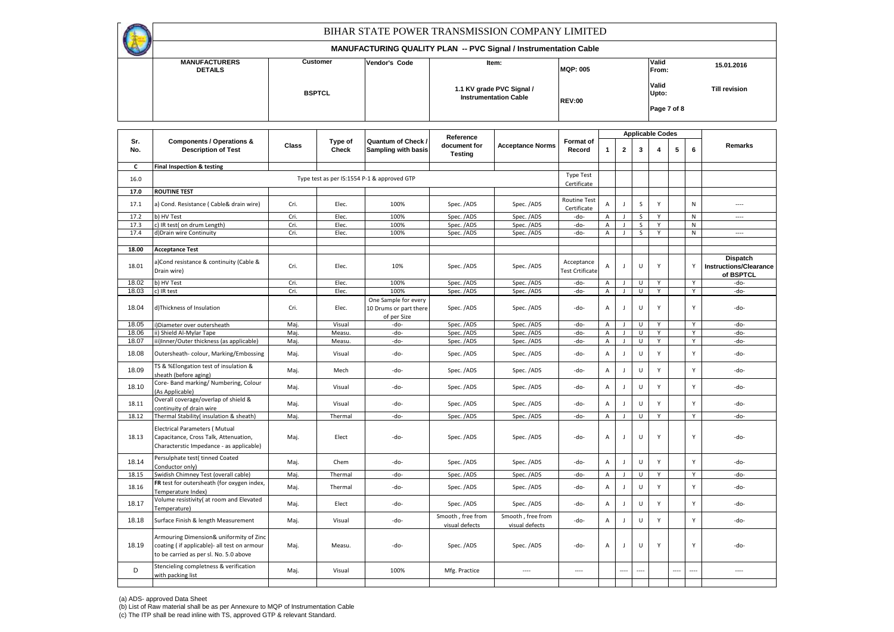**MANUFACTURERS** Customer Vendor's Code **Vendor's Code (CUSTANG PROPERTY)** Valid<br>
DETAILS From: **DETAILS From: Valid Upto: Vendor's Code MQP: 005 BSPTCL REV:00 Till revision Page 7 of 8** BIHAR STATE POWER TRANSMISSION COMPANY LIMITED **MANUFACTURING QUALITY PLAN -- PVC Signal / Instrumentation Cable 1.1 KV grade PVC Signal / Instrumentation Cable 15.01.2016**

|            |                                                                                                                                  | Reference |                  |                                                               |                                     |                                     | <b>Applicable Codes</b>            |                |                |        |   |      |              |                                            |
|------------|----------------------------------------------------------------------------------------------------------------------------------|-----------|------------------|---------------------------------------------------------------|-------------------------------------|-------------------------------------|------------------------------------|----------------|----------------|--------|---|------|--------------|--------------------------------------------|
| Sr.<br>No. | <b>Components / Operations &amp;</b><br><b>Description of Test</b>                                                               | Class     | Type of<br>Check | Quantum of Check /<br><b>Sampling with basis</b>              | document for<br><b>Testing</b>      | <b>Acceptance Norms</b>             | Format of<br>Record                | 1              | $\overline{2}$ | 3      |   | 5    | 6            | Remarks                                    |
| C          | Final Inspection & testing                                                                                                       |           |                  |                                                               |                                     |                                     |                                    |                |                |        |   |      |              |                                            |
| 16.0       |                                                                                                                                  |           |                  | Type test as per IS:1554 P-1 & approved GTP                   |                                     |                                     | <b>Type Test</b><br>Certificate    |                |                |        |   |      |              |                                            |
| 17.0       | <b>ROUTINE TEST</b>                                                                                                              |           |                  |                                                               |                                     |                                     |                                    |                |                |        |   |      |              |                                            |
| 17.1       | a) Cond. Resistance (Cable& drain wire)                                                                                          | Cri.      | Elec.            | 100%                                                          | Spec. /ADS                          | Spec. /ADS                          | <b>Routine Test</b><br>Certificate | A              |                | S      | Y |      | N            | $---$                                      |
| 17.2       | b) HV Test                                                                                                                       | Cri.      | Elec.            | 100%                                                          | Spec. /ADS                          | Spec. /ADS                          | -do-                               | Α              | - 1            | S      | Y |      | ${\sf N}$    | $\sim$                                     |
| 17.3       | c) IR test( on drum Length)                                                                                                      | Cri.      | Elec.            | 100%                                                          | Spec. /ADS                          | Spec. /ADS                          | -do-                               | Α              |                | S      | Y |      | ${\sf N}$    |                                            |
| 17.4       | d)Drain wire Continuity                                                                                                          | Cri.      | Elec.            | 100%                                                          | Spec. /ADS                          | Spec. /ADS                          | -do-                               | A              |                | S      | Y |      | N            | $---$                                      |
| 18.00      | <b>Acceptance Test</b>                                                                                                           |           |                  |                                                               |                                     |                                     |                                    |                |                |        |   |      |              |                                            |
|            |                                                                                                                                  |           |                  |                                                               |                                     |                                     |                                    |                |                |        |   |      |              | <b>Dispatch</b>                            |
| 18.01      | a)Cond resistance & continuity (Cable &<br>Drain wire)                                                                           | Cri.      | Elec.            | 10%                                                           | Spec. /ADS                          | Spec. /ADS                          | Acceptance<br>Test Crtificate      | A              | $\mathbf{I}$   | U      | Y |      | Y            | <b>Instructions/Clearance</b><br>of BSPTCL |
| 18.02      | b) HV Test                                                                                                                       | Cri.      | Elec.            | 100%                                                          | Spec. /ADS                          | Spec. /ADS                          | -do-                               | Α              |                | U      | Y |      | Y            | -do-                                       |
| 18.03      | c) IR test                                                                                                                       | Cri.      | Elec.            | 100%                                                          | Spec. /ADS                          | Spec. /ADS                          | -do-                               | $\mathsf{A}$   |                | U      | Y |      | Y            | -do-                                       |
| 18.04      | d)Thickness of Insulation                                                                                                        | Cri.      | Elec.            | One Sample for every<br>10 Drums or part there<br>of per Size | Spec. /ADS                          | Spec. /ADS                          | -do-                               | A              | $\mathbf{I}$   | U      | Y |      | Y            | -do-                                       |
| 18.05      | )Diameter over outersheath                                                                                                       | Maj.      | Visual           | -do-                                                          | Spec. /ADS                          | Spec. /ADS                          | -do-                               | Α              |                | U      |   |      | Y            | -do-                                       |
| 18.06      | ii) Shield Al-Mylar Tape                                                                                                         | Maj.      | Measu.           | -do-                                                          | Spec. /ADS                          | Spec. /ADS                          | -do-                               | A              |                | U      | Y |      | Y            | -do-                                       |
| 18.07      | iii)Inner/Outer thickness (as applicable)                                                                                        | Maj.      | Measu.           | -do-                                                          | Spec. /ADS                          | Spec. /ADS                          | -do-                               | Α              |                | U      | Y |      | Y            | -do-                                       |
| 18.08      | Outersheath-colour, Marking/Embossing                                                                                            | Maj.      | Visual           | -do-                                                          | Spec. /ADS                          | Spec. /ADS                          | -do-                               | A              | $\mathbf{I}$   | U      | Y |      | Y            | -do-                                       |
| 18.09      | TS & %Elongation test of insulation &<br>sheath (before aging)                                                                   | Maj.      | Mech             | -do-                                                          | Spec. /ADS                          | Spec. /ADS                          | -do-                               | А              | J              | U      | Y |      | Y            | -do-                                       |
| 18.10      | Core- Band marking/ Numbering, Colour<br>As Applicable)                                                                          | Maj.      | Visual           | -do-                                                          | Spec. /ADS                          | Spec. /ADS                          | -do-                               | A              | $\mathbf{I}$   | U      | Y |      | Y            | -do-                                       |
| 18.11      | Overall coverage/overlap of shield &<br>continuity of drain wire                                                                 | Maj.      | Visual           | -do-                                                          | Spec. /ADS                          | Spec. /ADS                          | -do-                               | $\overline{A}$ | J              | U      | Y |      | Y            | -do-                                       |
| 18.12      | Thermal Stability(insulation & sheath)                                                                                           | Maj.      | Thermal          | -do-                                                          | Spec. /ADS                          | Spec. /ADS                          | -do-                               | Α              |                | U      | Y |      | Y            | -do-                                       |
| 18.13      | <b>Electrical Parameters (Mutual</b><br>Capacitance, Cross Talk, Attenuation,<br>Characterstic Impedance - as applicable)        | Maj.      | Elect            | -do-                                                          | Spec. /ADS                          | Spec. /ADS                          | -do-                               | A              |                | U      | Y |      | Y            | -do-                                       |
| 18.14      | Persulphate test( tinned Coated<br>Conductor only)                                                                               | Maj.      | Chem             | -do-                                                          | Spec. /ADS                          | Spec. /ADS                          | -do-                               | A              | $\overline{1}$ | U      | Y |      | $\mathsf{v}$ | -do-                                       |
| 18.15      | Swidish Chimney Test (overall cable)                                                                                             | Maj.      | Thermal          | -do-                                                          | Spec. /ADS                          | Spec. /ADS                          | -do-                               | Α              |                | U      | Υ |      | Y            | -do-                                       |
| 18.16      | FR test for outersheath (for oxygen index,<br>Temperature Index)                                                                 | Maj.      | Thermal          | -do-                                                          | Spec. /ADS                          | Spec. /ADS                          | -do-                               | A              | $\blacksquare$ | U      | Y |      | Y            | -do-                                       |
| 18.17      | Volume resistivity( at room and Elevated<br>Temperature)                                                                         | Maj.      | Elect            | -do-                                                          | Spec. /ADS                          | Spec. /ADS                          | -do-                               | А              | $\overline{1}$ | U      | Y |      | Y            | -do-                                       |
| 18.18      | Surface Finish & length Measurement                                                                                              | Maj.      | Visual           | -do-                                                          | Smooth, free from<br>visual defects | Smooth, free from<br>visual defects | -do-                               | Α              | $\mathbf{I}$   | U      | Y |      | Y            | -do-                                       |
| 18.19      | Armouring Dimension& uniformity of Zinc<br>coating (if applicable)- all test on armour<br>to be carried as per sl. No. 5.0 above | Maj.      | Measu.           | -do-                                                          | Spec. /ADS                          | Spec. /ADS                          | -do-                               | Α              | J.             | U      | Y |      | Y            | -do-                                       |
| D          | Stencieling completness & verification<br>with packing list                                                                      | Maj.      | Visual           | 100%                                                          | Mfg. Practice                       | $\cdots$                            | $\cdots$                           |                | ----           | $\sim$ |   | ---- | $\cdots$     | $---$                                      |
|            |                                                                                                                                  |           |                  |                                                               |                                     |                                     |                                    |                |                |        |   |      |              |                                            |

(a) ADS- approved Data Sheet (b) List of Raw material shall be as per Annexure to MQP of Instrumentation Cable (c) The ITP shall be read inline with TS, approved GTP & relevant Standard.